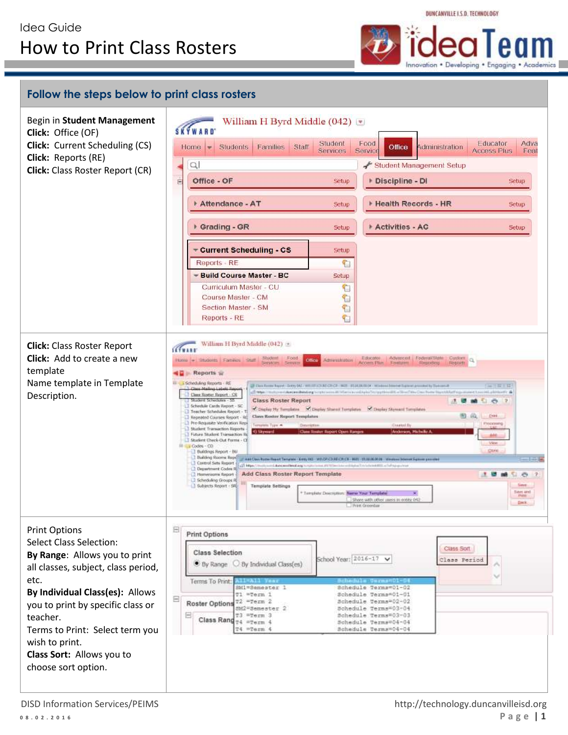Innovation . Developing . Engaging . Academics

DUNCANVILLE I.S.D. TECHNOLOGY

## **Follow the steps below to print class rosters**

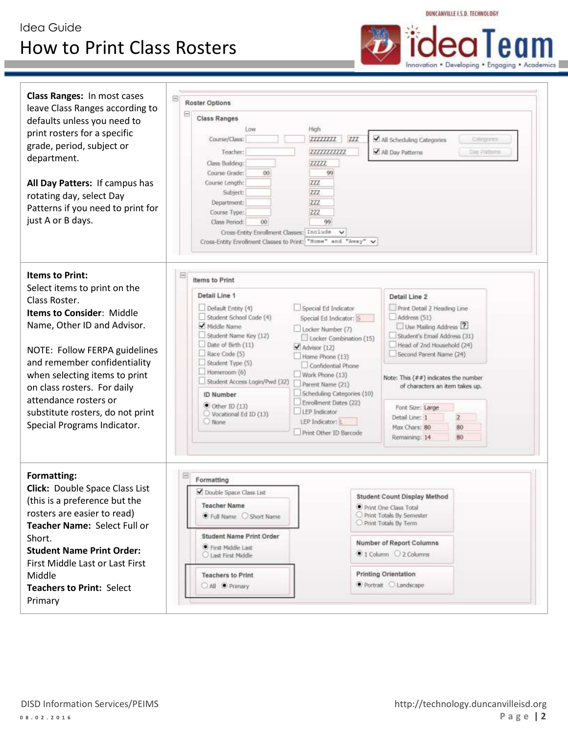## Idea Guide How to Print Class Rosters



DUNCANVILLE J.S.D. TECHNOLOGY

| <b>Class Ranges: In most cases</b><br>leave Class Ranges according to<br>defaults unless you need to<br>print rosters for a specific<br>grade, period, subject or<br>department.<br>All Day Patters: If campus has<br>rotating day, select Day<br>Patterns if you need to print for<br>just A or B days.                                                                | 8<br>Roster Options                                                                                                                                                                                                                                                                                                                                                                                                                                                                                                                                                                                                                                                                                                                                                                                                                                                                                                                                                                                                       |
|-------------------------------------------------------------------------------------------------------------------------------------------------------------------------------------------------------------------------------------------------------------------------------------------------------------------------------------------------------------------------|---------------------------------------------------------------------------------------------------------------------------------------------------------------------------------------------------------------------------------------------------------------------------------------------------------------------------------------------------------------------------------------------------------------------------------------------------------------------------------------------------------------------------------------------------------------------------------------------------------------------------------------------------------------------------------------------------------------------------------------------------------------------------------------------------------------------------------------------------------------------------------------------------------------------------------------------------------------------------------------------------------------------------|
|                                                                                                                                                                                                                                                                                                                                                                         | <b>Class Ranges</b><br>Low<br>High<br>All Scheduling Categories<br>Course/Class:<br>77777777<br>277<br>Categories<br>77777777777<br>Teacher:<br>All Day Patterns<br><b>Day Fallemi</b><br>Class Building:<br>77777<br>99<br>Course Grade:<br>00<br>Course Length:<br>ZZZ<br>ZZZ<br>Subject:<br>222<br>Department:<br>222<br>Course Type:<br>99<br>Class Period:<br>00<br>Cross-Entity Enrollment Classes: Include<br>Cross-Entity Enrolment Classes to Print: "Home" and "Away" V                                                                                                                                                                                                                                                                                                                                                                                                                                                                                                                                         |
| <b>Items to Print:</b><br>Select items to print on the<br>Class Roster.<br><b>Items to Consider: Middle</b><br>Name, Other ID and Advisor.<br>NOTE: Follow FERPA guidelines<br>and remember confidentiality<br>when selecting items to print<br>on class rosters. For daily<br>attendance rosters or<br>substitute rosters, do not print<br>Special Programs Indicator. | ⊟<br>Items to Print<br>Detail Line 1<br>Detail Line 2<br>Print Detail 2 Heading Line<br>Default Entity (4)<br>Special Ed Indicator<br>Student School Code (4)<br>Address (51)<br>Special Ed Indicator: S<br>Middle Name<br>Use Mailing Address 2<br>Locker Number (7)<br>Student Name Key (12)<br>Student's Email Address (31)<br>Locker Combination (15)<br>Date of Birth (11)<br>Head of 2nd Household (24)<br>Advisor (12)<br>Race Code (5)<br>Second Parent Name (24)<br>Home Phone (13)<br>Student Type (5)<br>Confidential Phone<br>Homeroom (6)<br>Work Phone (13)<br>Note: This $($ # $#$ ) indicates the number<br>Student Access Login/Pwd (32)<br>Parent Name (21)<br>of characters an item takes up.<br>Scheduling Categories (10)<br>ID Number<br>Enrollment Dates (22)<br>$\bullet$ Other ID (13)<br>Font Size: Large<br>LEP Indicator<br>Vocational Ed ID (13)<br>$\overline{2}$<br>Detail Line: 1<br>LEP Indicator: L<br>$O$ None<br>Max Chars: 80<br>80<br>Print Other ID Barcode<br>Remaining: 14<br>80 |
| Formatting:<br><b>Click:</b> Double Space Class List<br>(this is a preference but the<br>rosters are easier to read)<br>Teacher Name: Select Full or<br>Short.<br><b>Student Name Print Order:</b><br>First Middle Last or Last First<br>Middle<br><b>Teachers to Print: Select</b><br>Primary                                                                          | Formatting<br>Ouble Space Class List<br>Student Count Display Method<br><b>Teacher Name</b><br>Print One Class Total<br>Print Totals By Semester<br>C Full Name Short Name<br>Print Totals By Term<br><b>Student Name Print Order</b><br>Number of Report Columns<br>First Middle Last<br>© 1 Column C 2 Columns<br>C Last First Middle<br><b>Printing Orientation</b><br><b>Teachers to Print</b><br>● Portrait ○ Landscape<br>All <i>Primary</i>                                                                                                                                                                                                                                                                                                                                                                                                                                                                                                                                                                        |